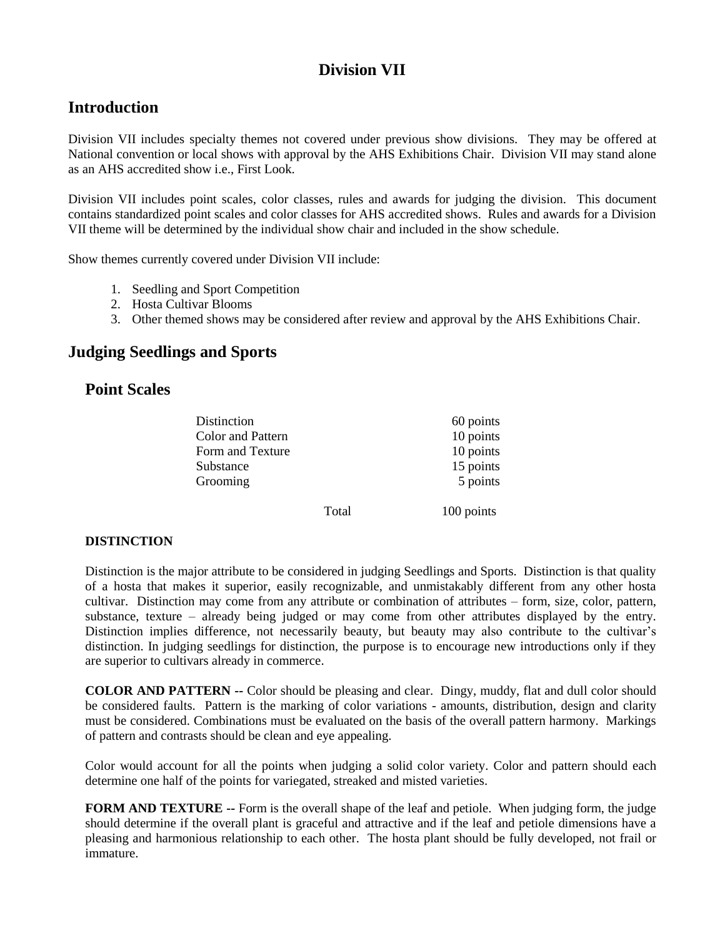# **Division VII**

## **Introduction**

Division VII includes specialty themes not covered under previous show divisions. They may be offered at National convention or local shows with approval by the AHS Exhibitions Chair. Division VII may stand alone as an AHS accredited show i.e., First Look.

Division VII includes point scales, color classes, rules and awards for judging the division. This document contains standardized point scales and color classes for AHS accredited shows. Rules and awards for a Division VII theme will be determined by the individual show chair and included in the show schedule.

Show themes currently covered under Division VII include:

- 1. Seedling and Sport Competition
- 2. Hosta Cultivar Blooms
- 3. Other themed shows may be considered after review and approval by the AHS Exhibitions Chair.

## **Judging Seedlings and Sports**

### **Point Scales**

| Distinction              |       | 60 points  |
|--------------------------|-------|------------|
| <b>Color and Pattern</b> |       | 10 points  |
| Form and Texture         |       | 10 points  |
| Substance                |       | 15 points  |
| Grooming                 |       | 5 points   |
|                          | Total | 100 points |

### **DISTINCTION**

Distinction is the major attribute to be considered in judging Seedlings and Sports. Distinction is that quality of a hosta that makes it superior, easily recognizable, and unmistakably different from any other hosta cultivar. Distinction may come from any attribute or combination of attributes – form, size, color, pattern, substance, texture – already being judged or may come from other attributes displayed by the entry. Distinction implies difference, not necessarily beauty, but beauty may also contribute to the cultivar's distinction. In judging seedlings for distinction, the purpose is to encourage new introductions only if they are superior to cultivars already in commerce.

**COLOR AND PATTERN --** Color should be pleasing and clear. Dingy, muddy, flat and dull color should be considered faults. Pattern is the marking of color variations - amounts, distribution, design and clarity must be considered. Combinations must be evaluated on the basis of the overall pattern harmony. Markings of pattern and contrasts should be clean and eye appealing.

Color would account for all the points when judging a solid color variety. Color and pattern should each determine one half of the points for variegated, streaked and misted varieties.

**FORM AND TEXTURE --** Form is the overall shape of the leaf and petiole. When judging form, the judge should determine if the overall plant is graceful and attractive and if the leaf and petiole dimensions have a pleasing and harmonious relationship to each other. The hosta plant should be fully developed, not frail or immature.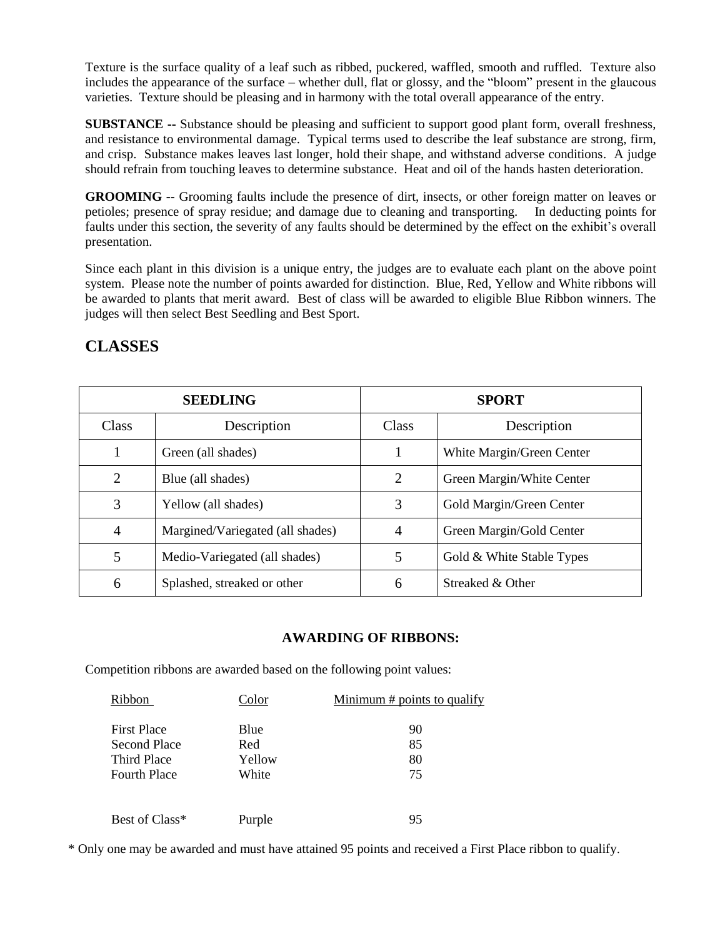Texture is the surface quality of a leaf such as ribbed, puckered, waffled, smooth and ruffled. Texture also includes the appearance of the surface – whether dull, flat or glossy, and the "bloom" present in the glaucous varieties. Texture should be pleasing and in harmony with the total overall appearance of the entry.

**SUBSTANCE --** Substance should be pleasing and sufficient to support good plant form, overall freshness, and resistance to environmental damage. Typical terms used to describe the leaf substance are strong, firm, and crisp. Substance makes leaves last longer, hold their shape, and withstand adverse conditions. A judge should refrain from touching leaves to determine substance. Heat and oil of the hands hasten deterioration.

**GROOMING --** Grooming faults include the presence of dirt, insects, or other foreign matter on leaves or petioles; presence of spray residue; and damage due to cleaning and transporting. In deducting points for faults under this section, the severity of any faults should be determined by the effect on the exhibit's overall presentation.

Since each plant in this division is a unique entry, the judges are to evaluate each plant on the above point system. Please note the number of points awarded for distinction. Blue, Red, Yellow and White ribbons will be awarded to plants that merit award. Best of class will be awarded to eligible Blue Ribbon winners. The judges will then select Best Seedling and Best Sport.

|                | <b>SEEDLING</b>                  |                | <b>SPORT</b>              |
|----------------|----------------------------------|----------------|---------------------------|
| Class          | Description                      | <b>Class</b>   | Description               |
|                | Green (all shades)               |                | White Margin/Green Center |
| $\overline{2}$ | Blue (all shades)                | $\overline{2}$ | Green Margin/White Center |
| 3              | Yellow (all shades)              | 3              | Gold Margin/Green Center  |
| 4              | Margined/Variegated (all shades) | 4              | Green Margin/Gold Center  |
| 5              | Medio-Variegated (all shades)    | 5              | Gold & White Stable Types |
| 6              | Splashed, streaked or other      | 6              | Streaked & Other          |

# **CLASSES**

### **AWARDING OF RIBBONS:**

Competition ribbons are awarded based on the following point values:

| Ribbon              | Color  | <u>Minimum <math>#</math> points to qualify</u> |
|---------------------|--------|-------------------------------------------------|
| <b>First Place</b>  | Blue   | 90                                              |
| Second Place        | Red    | 85                                              |
| Third Place         | Yellow | 80                                              |
| <b>Fourth Place</b> | White  | 75                                              |
| Best of Class*      | Purple | 95                                              |

\* Only one may be awarded and must have attained 95 points and received a First Place ribbon to qualify.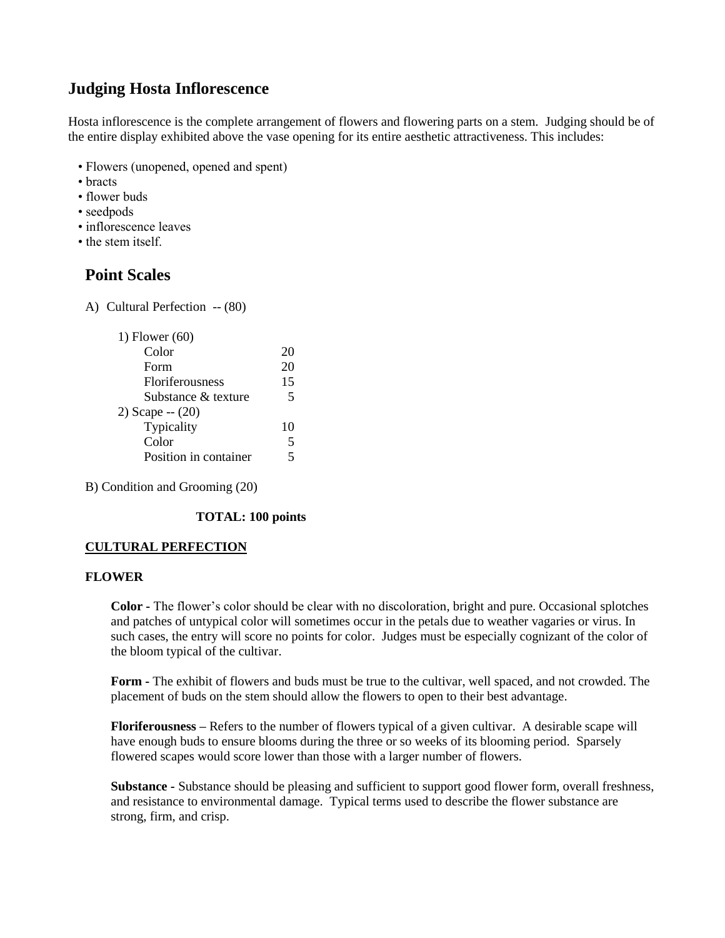## **Judging Hosta Inflorescence**

Hosta inflorescence is the complete arrangement of flowers and flowering parts on a stem. Judging should be of the entire display exhibited above the vase opening for its entire aesthetic attractiveness. This includes:

- Flowers (unopened, opened and spent)
- bracts
- flower buds
- seedpods
- inflorescence leaves
- the stem itself.

## **Point Scales**

A) Cultural Perfection -- (80)

| 1) Flower $(60)$       |    |
|------------------------|----|
| Color                  | 20 |
| Form                   | 20 |
| <b>Floriferousness</b> | 15 |
| Substance & texture    | 5  |
| 2) Scape $- (20)$      |    |
| Typicality             | 10 |
| Color                  | 5  |
| Position in container  |    |
|                        |    |

B) Condition and Grooming (20)

### **TOTAL: 100 points**

### **CULTURAL PERFECTION**

### **FLOWER**

**Color -** The flower's color should be clear with no discoloration, bright and pure. Occasional splotches and patches of untypical color will sometimes occur in the petals due to weather vagaries or virus. In such cases, the entry will score no points for color. Judges must be especially cognizant of the color of the bloom typical of the cultivar.

**Form -** The exhibit of flowers and buds must be true to the cultivar, well spaced, and not crowded. The placement of buds on the stem should allow the flowers to open to their best advantage.

**Floriferousness –** Refers to the number of flowers typical of a given cultivar. A desirable scape will have enough buds to ensure blooms during the three or so weeks of its blooming period. Sparsely flowered scapes would score lower than those with a larger number of flowers.

**Substance -** Substance should be pleasing and sufficient to support good flower form, overall freshness, and resistance to environmental damage. Typical terms used to describe the flower substance are strong, firm, and crisp.